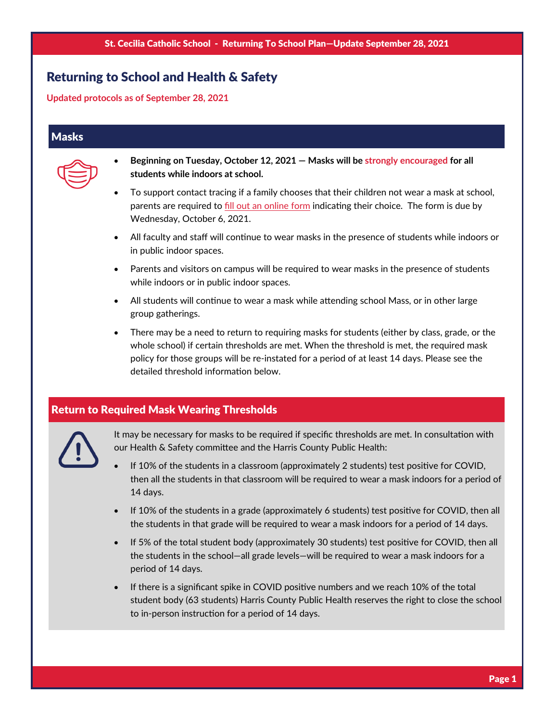# Returning to School and Health & Safety

**Updated protocols as of September 28, 2021** 

### **Masks**



- **Beginning on Tuesday, October 12, 2021 Masks will be strongly encouraged for all students while indoors at school.**
- To support contact tracing if a family chooses that their children not wear a mask at school, parents are required to fill out an [online](https://forms.gle/FphbWPGKbKmCB9687) form indicating their choice. The form is due by Wednesday, October 6, 2021.
- All faculty and staff will continue to wear masks in the presence of students while indoors or in public indoor spaces.
- Parents and visitors on campus will be required to wear masks in the presence of students while indoors or in public indoor spaces.
- All students will continue to wear a mask while attending school Mass, or in other large group gatherings.
- There may be a need to return to requiring masks for students (either by class, grade, or the whole school) if certain thresholds are met. When the threshold is met, the required mask policy for those groups will be re‐instated for a period of at least 14 days. Please see the detailed threshold information below.

## Return to Required Mask Wearing Thresholds



It may be necessary for masks to be required if specific thresholds are met. In consultation with our Health & Safety committee and the Harris County Public Health:

- If 10% of the students in a classroom (approximately 2 students) test positive for COVID, then all the students in that classroom will be required to wear a mask indoors for a period of 14 days.
- If 10% of the students in a grade (approximately 6 students) test positive for COVID, then all the students in that grade will be required to wear a mask indoors for a period of 14 days.
- If 5% of the total student body (approximately 30 students) test positive for COVID, then all the students in the school—all grade levels—will be required to wear a mask indoors for a period of 14 days.
- If there is a significant spike in COVID positive numbers and we reach 10% of the total student body (63 students) Harris County Public Health reserves the right to close the school to in-person instruction for a period of 14 days.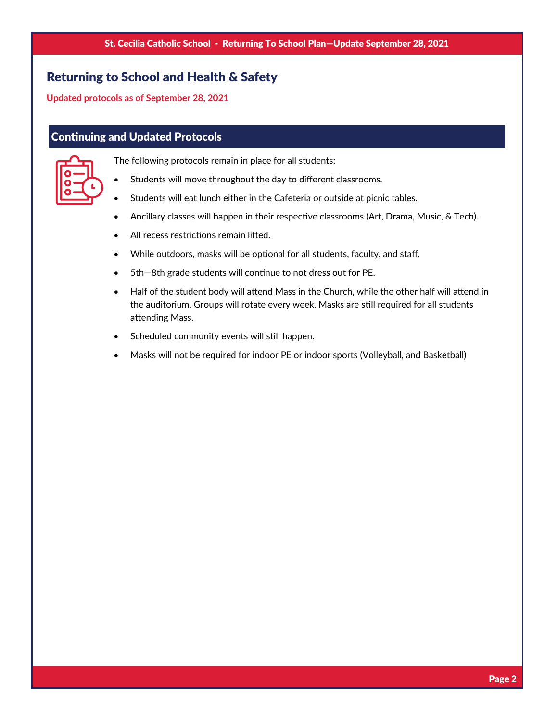# Returning to School and Health & Safety

**Updated protocols as of September 28, 2021** 

## **Continuing and Updated Protocols**



- The following protocols remain in place for all students:
- Students will move throughout the day to different classrooms.
- Students will eat lunch either in the Cafeteria or outside at picnic tables.
- Ancillary classes will happen in their respective classrooms (Art, Drama, Music, & Tech).
- All recess restrictions remain lifted.
- While outdoors, masks will be optional for all students, faculty, and staff.
- 5th-8th grade students will continue to not dress out for PE.
- Half of the student body will attend Mass in the Church, while the other half will attend in the auditorium. Groups will rotate every week. Masks are still required for all students attending Mass.
- Scheduled community events will still happen.
- Masks will not be required for indoor PE or indoor sports (Volleyball, and Basketball)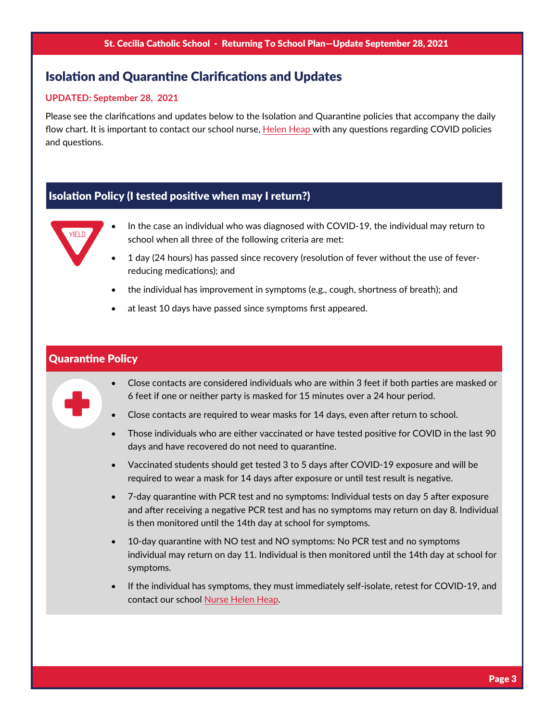## Isolation and Quarantine Clarifications and Updates

#### **UPDATED: September 28, 2021**

Please see the clarifications and updates below to the Isolation and Quarantine policies that accompany the daily flow chart. It is important to contact our school nurse, [Helen](mailto:hheap@saintcecilia.org) Heap with any questions regarding COVID policies and questions.

## Isolation Policy (I tested positive when may I return?)



- In the case an individual who was diagnosed with COVID‐19, the individual may return to school when all three of the following criteria are met:
- 1 day (24 hours) has passed since recovery (resolution of fever without the use of feverreducing medications); and
- the individual has improvement in symptoms (e.g., cough, shortness of breath); and
- at least 10 days have passed since symptoms first appeared.

#### **Quarantine Policy**



- Close contacts are considered individuals who are within 3 feet if both parties are masked or 6 feet if one or neither party is masked for 15 minutes over a 24 hour period.
- Close contacts are required to wear masks for 14 days, even after return to school.
- Those individuals who are either vaccinated or have tested positive for COVID in the last 90 days and have recovered do not need to quarantine.
- Vaccinated students should get tested 3 to 5 days after COVID-19 exposure and will be required to wear a mask for 14 days after exposure or until test result is negative.
- 7-day quarantine with PCR test and no symptoms: Individual tests on day 5 after exposure and after receiving a negative PCR test and has no symptoms may return on day 8. Individual is then monitored until the 14th day at school for symptoms.
- 10-day quarantine with NO test and NO symptoms: No PCR test and no symptoms individual may return on day 11. Individual is then monitored until the 14th day at school for symptoms.
- If the individual has symptoms, they must immediately self-isolate, retest for COVID-19, and contact our school [Nurse](mailto:hheap@saintcecilia.org) Helen Heap.